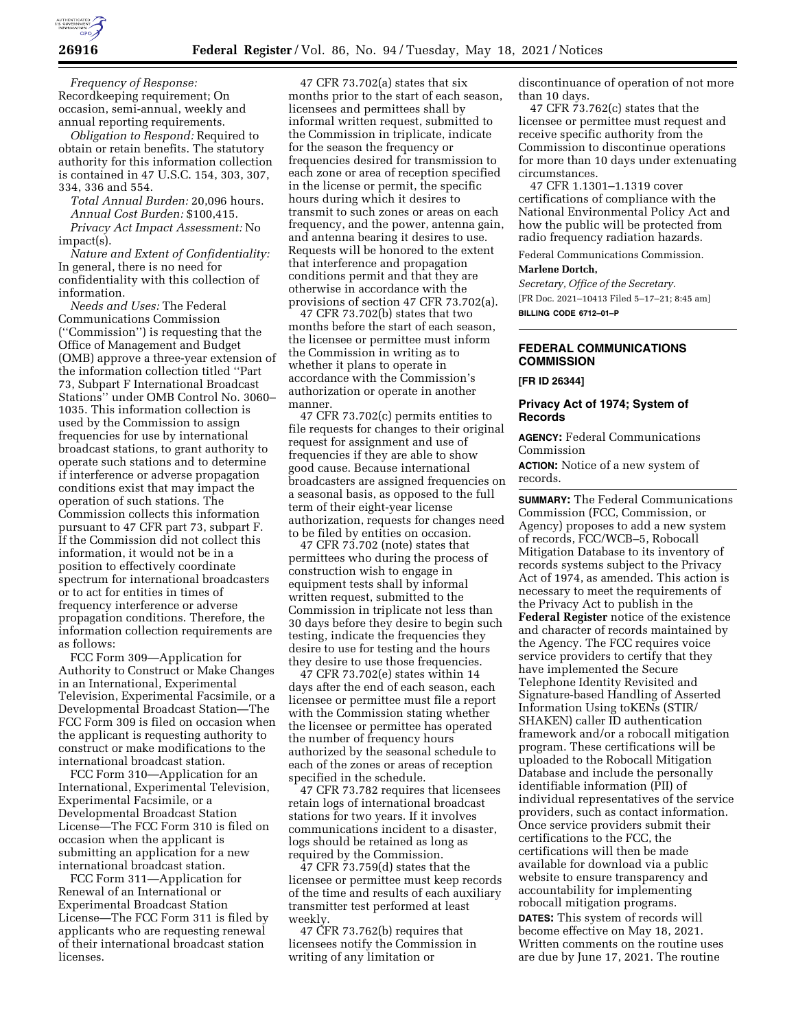

*Frequency of Response:*  Recordkeeping requirement; On occasion, semi-annual, weekly and annual reporting requirements.

*Obligation to Respond:* Required to obtain or retain benefits. The statutory authority for this information collection is contained in 47 U.S.C. 154, 303, 307, 334, 336 and 554.

*Total Annual Burden:* 20,096 hours. *Annual Cost Burden:* \$100,415. *Privacy Act Impact Assessment:* No impact(s).

*Nature and Extent of Confidentiality:*  In general, there is no need for confidentiality with this collection of information.

*Needs and Uses:* The Federal Communications Commission (''Commission'') is requesting that the Office of Management and Budget (OMB) approve a three-year extension of the information collection titled ''Part 73, Subpart F International Broadcast Stations'' under OMB Control No. 3060– 1035. This information collection is used by the Commission to assign frequencies for use by international broadcast stations, to grant authority to operate such stations and to determine if interference or adverse propagation conditions exist that may impact the operation of such stations. The Commission collects this information pursuant to 47 CFR part 73, subpart F. If the Commission did not collect this information, it would not be in a position to effectively coordinate spectrum for international broadcasters or to act for entities in times of frequency interference or adverse propagation conditions. Therefore, the information collection requirements are as follows:

FCC Form 309—Application for Authority to Construct or Make Changes in an International, Experimental Television, Experimental Facsimile, or a Developmental Broadcast Station—The FCC Form 309 is filed on occasion when the applicant is requesting authority to construct or make modifications to the international broadcast station.

FCC Form 310—Application for an International, Experimental Television, Experimental Facsimile, or a Developmental Broadcast Station License—The FCC Form 310 is filed on occasion when the applicant is submitting an application for a new international broadcast station.

FCC Form 311—Application for Renewal of an International or Experimental Broadcast Station License—The FCC Form 311 is filed by applicants who are requesting renewal of their international broadcast station licenses.

47 CFR 73.702(a) states that six months prior to the start of each season, licensees and permittees shall by informal written request, submitted to the Commission in triplicate, indicate for the season the frequency or frequencies desired for transmission to each zone or area of reception specified in the license or permit, the specific hours during which it desires to transmit to such zones or areas on each frequency, and the power, antenna gain, and antenna bearing it desires to use. Requests will be honored to the extent that interference and propagation conditions permit and that they are otherwise in accordance with the provisions of section 47 CFR 73.702(a).

47 CFR 73.702(b) states that two months before the start of each season, the licensee or permittee must inform the Commission in writing as to whether it plans to operate in accordance with the Commission's authorization or operate in another manner.

47 CFR 73.702(c) permits entities to file requests for changes to their original request for assignment and use of frequencies if they are able to show good cause. Because international broadcasters are assigned frequencies on a seasonal basis, as opposed to the full term of their eight-year license authorization, requests for changes need to be filed by entities on occasion.

47 CFR 73.702 (note) states that permittees who during the process of construction wish to engage in equipment tests shall by informal written request, submitted to the Commission in triplicate not less than 30 days before they desire to begin such testing, indicate the frequencies they desire to use for testing and the hours they desire to use those frequencies.

47 CFR 73.702(e) states within 14 days after the end of each season, each licensee or permittee must file a report with the Commission stating whether the licensee or permittee has operated the number of frequency hours authorized by the seasonal schedule to each of the zones or areas of reception specified in the schedule.

47 CFR 73.782 requires that licensees retain logs of international broadcast stations for two years. If it involves communications incident to a disaster, logs should be retained as long as required by the Commission.

47 CFR 73.759(d) states that the licensee or permittee must keep records of the time and results of each auxiliary transmitter test performed at least weekly.

47 CFR 73.762(b) requires that licensees notify the Commission in writing of any limitation or

discontinuance of operation of not more than 10 days.

47 CFR 73.762(c) states that the licensee or permittee must request and receive specific authority from the Commission to discontinue operations for more than 10 days under extenuating circumstances.

47 CFR 1.1301–1.1319 cover certifications of compliance with the National Environmental Policy Act and how the public will be protected from radio frequency radiation hazards.

Federal Communications Commission.

## **Marlene Dortch,**

*Secretary, Office of the Secretary.*  [FR Doc. 2021–10413 Filed 5–17–21; 8:45 am] **BILLING CODE 6712–01–P** 

# **FEDERAL COMMUNICATIONS COMMISSION**

#### **[FR ID 26344]**

## **Privacy Act of 1974; System of Records**

**AGENCY:** Federal Communications Commission

**ACTION:** Notice of a new system of records.

**SUMMARY:** The Federal Communications Commission (FCC, Commission, or Agency) proposes to add a new system of records, FCC/WCB–5, Robocall Mitigation Database to its inventory of records systems subject to the Privacy Act of 1974, as amended. This action is necessary to meet the requirements of the Privacy Act to publish in the **Federal Register** notice of the existence and character of records maintained by the Agency. The FCC requires voice service providers to certify that they have implemented the Secure Telephone Identity Revisited and Signature-based Handling of Asserted Information Using toKENs (STIR/ SHAKEN) caller ID authentication framework and/or a robocall mitigation program. These certifications will be uploaded to the Robocall Mitigation Database and include the personally identifiable information (PII) of individual representatives of the service providers, such as contact information. Once service providers submit their certifications to the FCC, the certifications will then be made available for download via a public website to ensure transparency and accountability for implementing robocall mitigation programs. **DATES:** This system of records will become effective on May 18, 2021. Written comments on the routine uses are due by June 17, 2021. The routine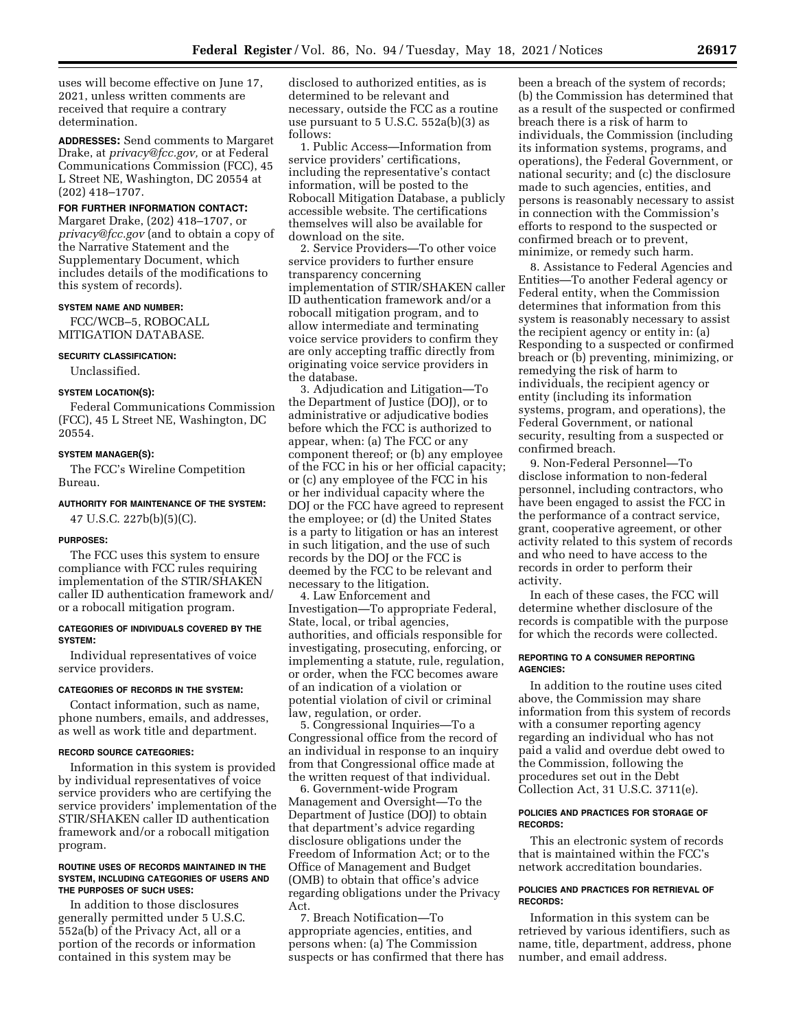uses will become effective on June 17, 2021, unless written comments are received that require a contrary determination.

**ADDRESSES:** Send comments to Margaret Drake, at *privacy@fcc.gov,* or at Federal Communications Commission (FCC), 45 L Street NE, Washington, DC 20554 at (202) 418–1707.

# **FOR FURTHER INFORMATION CONTACT:**

Margaret Drake, (202) 418–1707, or *privacy@fcc.gov* (and to obtain a copy of the Narrative Statement and the Supplementary Document, which includes details of the modifications to this system of records).

#### **SYSTEM NAME AND NUMBER:**

FCC/WCB–5, ROBOCALL MITIGATION DATABASE.

#### **SECURITY CLASSIFICATION:**

Unclassified.

## **SYSTEM LOCATION(S):**

Federal Communications Commission (FCC), 45 L Street NE, Washington, DC 20554.

# **SYSTEM MANAGER(S):**

The FCC's Wireline Competition Bureau.

# **AUTHORITY FOR MAINTENANCE OF THE SYSTEM:**

47 U.S.C. 227b(b)(5)(C).

#### **PURPOSES:**

The FCC uses this system to ensure compliance with FCC rules requiring implementation of the STIR/SHAKEN caller ID authentication framework and/ or a robocall mitigation program.

#### **CATEGORIES OF INDIVIDUALS COVERED BY THE SYSTEM:**

Individual representatives of voice service providers.

#### **CATEGORIES OF RECORDS IN THE SYSTEM:**

Contact information, such as name, phone numbers, emails, and addresses, as well as work title and department.

#### **RECORD SOURCE CATEGORIES:**

Information in this system is provided by individual representatives of voice service providers who are certifying the service providers' implementation of the STIR/SHAKEN caller ID authentication framework and/or a robocall mitigation program.

#### **ROUTINE USES OF RECORDS MAINTAINED IN THE SYSTEM, INCLUDING CATEGORIES OF USERS AND THE PURPOSES OF SUCH USES:**

In addition to those disclosures generally permitted under 5 U.S.C. 552a(b) of the Privacy Act, all or a portion of the records or information contained in this system may be

disclosed to authorized entities, as is determined to be relevant and necessary, outside the FCC as a routine use pursuant to 5 U.S.C. 552a(b)(3) as follows:

1. Public Access—Information from service providers' certifications, including the representative's contact information, will be posted to the Robocall Mitigation Database, a publicly accessible website. The certifications themselves will also be available for download on the site.

2. Service Providers—To other voice service providers to further ensure transparency concerning implementation of STIR/SHAKEN caller ID authentication framework and/or a robocall mitigation program, and to allow intermediate and terminating voice service providers to confirm they are only accepting traffic directly from originating voice service providers in the database.

3. Adjudication and Litigation—To the Department of Justice (DOJ), or to administrative or adjudicative bodies before which the FCC is authorized to appear, when: (a) The FCC or any component thereof; or (b) any employee of the FCC in his or her official capacity; or (c) any employee of the FCC in his or her individual capacity where the DOJ or the FCC have agreed to represent the employee; or (d) the United States is a party to litigation or has an interest in such litigation, and the use of such records by the DOJ or the FCC is deemed by the FCC to be relevant and necessary to the litigation.

4. Law Enforcement and Investigation—To appropriate Federal, State, local, or tribal agencies, authorities, and officials responsible for investigating, prosecuting, enforcing, or implementing a statute, rule, regulation, or order, when the FCC becomes aware of an indication of a violation or potential violation of civil or criminal law, regulation, or order.

5. Congressional Inquiries—To a Congressional office from the record of an individual in response to an inquiry from that Congressional office made at the written request of that individual.

6. Government-wide Program Management and Oversight—To the Department of Justice (DOJ) to obtain that department's advice regarding disclosure obligations under the Freedom of Information Act; or to the Office of Management and Budget (OMB) to obtain that office's advice regarding obligations under the Privacy Act.

7. Breach Notification—To appropriate agencies, entities, and persons when: (a) The Commission suspects or has confirmed that there has been a breach of the system of records; (b) the Commission has determined that as a result of the suspected or confirmed breach there is a risk of harm to individuals, the Commission (including its information systems, programs, and operations), the Federal Government, or national security; and (c) the disclosure made to such agencies, entities, and persons is reasonably necessary to assist in connection with the Commission's efforts to respond to the suspected or confirmed breach or to prevent, minimize, or remedy such harm.

8. Assistance to Federal Agencies and Entities—To another Federal agency or Federal entity, when the Commission determines that information from this system is reasonably necessary to assist the recipient agency or entity in: (a) Responding to a suspected or confirmed breach or (b) preventing, minimizing, or remedying the risk of harm to individuals, the recipient agency or entity (including its information systems, program, and operations), the Federal Government, or national security, resulting from a suspected or confirmed breach.

9. Non-Federal Personnel—To disclose information to non-federal personnel, including contractors, who have been engaged to assist the FCC in the performance of a contract service, grant, cooperative agreement, or other activity related to this system of records and who need to have access to the records in order to perform their activity.

In each of these cases, the FCC will determine whether disclosure of the records is compatible with the purpose for which the records were collected.

## **REPORTING TO A CONSUMER REPORTING AGENCIES:**

In addition to the routine uses cited above, the Commission may share information from this system of records with a consumer reporting agency regarding an individual who has not paid a valid and overdue debt owed to the Commission, following the procedures set out in the Debt Collection Act, 31 U.S.C. 3711(e).

## **POLICIES AND PRACTICES FOR STORAGE OF RECORDS:**

This an electronic system of records that is maintained within the FCC's network accreditation boundaries.

## **POLICIES AND PRACTICES FOR RETRIEVAL OF RECORDS:**

Information in this system can be retrieved by various identifiers, such as name, title, department, address, phone number, and email address.